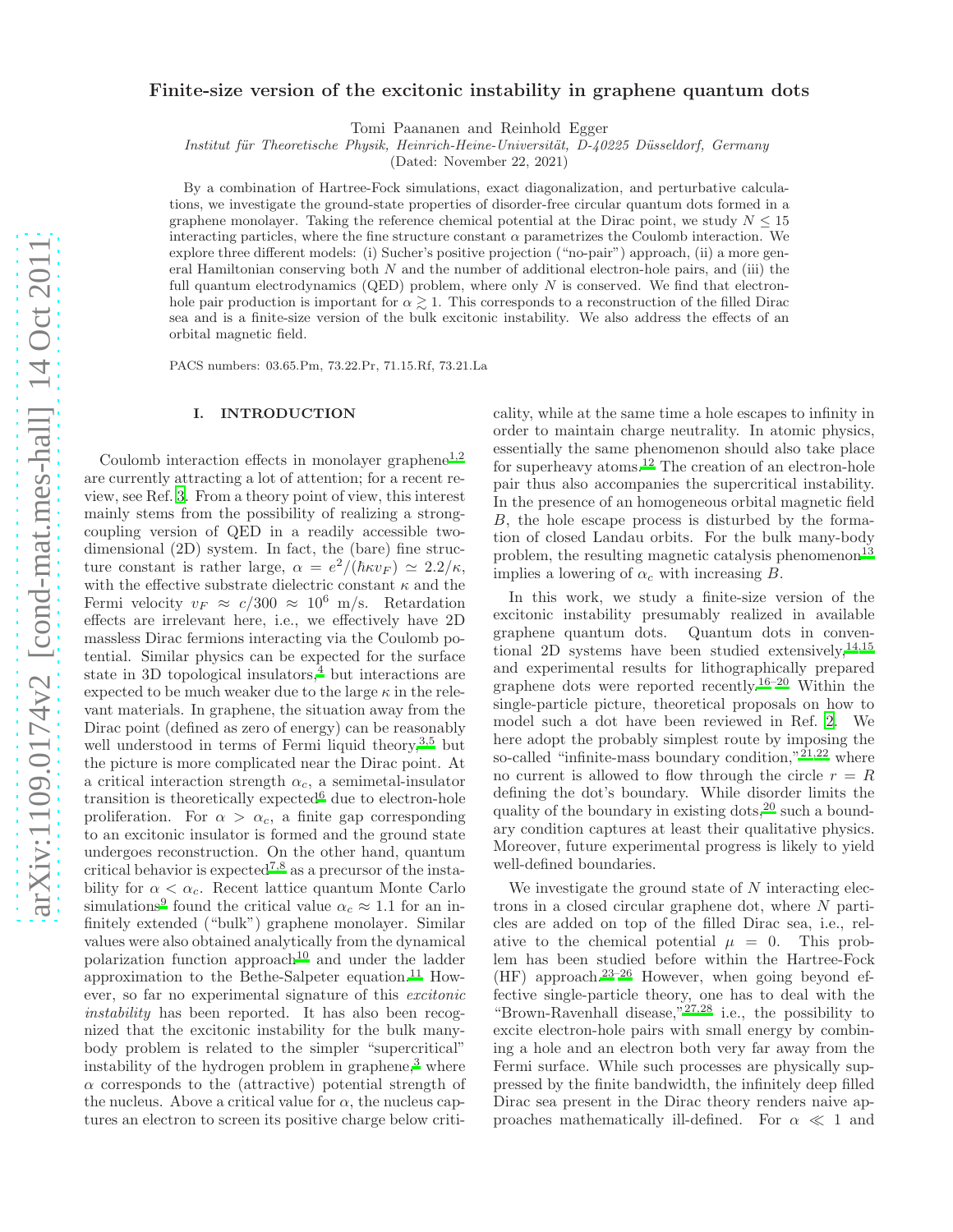# Finite-size version of the excitonic instability in graphene quantum dots

Tomi Paananen and Reinhold Egger

Institut für Theoretische Physik, Heinrich-Heine-Universität, D-40225 Düsseldorf, Germany

(Dated: November 22, 2021)

By a combination of Hartree-Fock simulations, exact diagonalization, and perturbative calculations, we investigate the ground-state properties of disorder-free circular quantum dots formed in a graphene monolayer. Taking the reference chemical potential at the Dirac point, we study  $N \leq 15$ interacting particles, where the fine structure constant  $\alpha$  parametrizes the Coulomb interaction. We explore three different models: (i) Sucher's positive projection ("no-pair") approach, (ii) a more general Hamiltonian conserving both  $N$  and the number of additional electron-hole pairs, and (iii) the full quantum electrodynamics (QED) problem, where only  $N$  is conserved. We find that electronhole pair production is important for  $\alpha \gtrsim 1$ . This corresponds to a reconstruction of the filled Dirac sea and is a finite-size version of the bulk excitonic instability. We also address the effects of an orbital magnetic field.

PACS numbers: 03.65.Pm, 73.22.Pr, 71.15.Rf, 73.21.La

### I. INTRODUCTION

Coulomb interaction effects in monolayer graphene<sup>[1,](#page-7-0)[2](#page-7-1)</sup> are currently attracting a lot of attention; for a recent review, see Ref. [3.](#page-7-2) From a theory point of view, this interest mainly stems from the possibility of realizing a strongcoupling version of QED in a readily accessible twodimensional (2D) system. In fact, the (bare) fine structure constant is rather large,  $\alpha = e^2/(\hbar \kappa v_F) \simeq 2.2/\kappa$ , with the effective substrate dielectric constant  $\kappa$  and the Fermi velocity  $v_F \approx c/300 \approx 10^6$  m/s. Retardation effects are irrelevant here, i.e., we effectively have 2D massless Dirac fermions interacting via the Coulomb potential. Similar physics can be expected for the surface state in 3D topological insulators, $4$  but interactions are expected to be much weaker due to the large  $\kappa$  in the relevant materials. In graphene, the situation away from the Dirac point (defined as zero of energy) can be reasonably well understood in terms of Fermi liquid theory,  $3,5$  $3,5$  but the picture is more complicated near the Dirac point. At a critical interaction strength  $\alpha_c$ , a semimetal-insulator transition is theoretically expected<sup>[6](#page-7-5)</sup> due to electron-hole proliferation. For  $\alpha > \alpha_c$ , a finite gap corresponding to an excitonic insulator is formed and the ground state undergoes reconstruction. On the other hand, quantum critical behavior is expected<sup>[7](#page-7-6)[,8](#page-7-7)</sup> as a precursor of the instability for  $\alpha < \alpha_c$ . Recent lattice quantum Monte Carlo simulations<sup>[9](#page-7-8)</sup> found the critical value  $\alpha_c \approx 1.1$  for an infinitely extended ("bulk") graphene monolayer. Similar values were also obtained analytically from the dynamical polarization function approach[10](#page-7-9) and under the ladder approximation to the Bethe-Salpeter equation. $11$  However, so far no experimental signature of this excitonic instability has been reported. It has also been recognized that the excitonic instability for the bulk manybody problem is related to the simpler "supercritical" instability of the hydrogen problem in graphene,<sup>[3](#page-7-2)</sup> where  $\alpha$  corresponds to the (attractive) potential strength of the nucleus. Above a critical value for  $\alpha$ , the nucleus captures an electron to screen its positive charge below criticality, while at the same time a hole escapes to infinity in order to maintain charge neutrality. In atomic physics, essentially the same phenomenon should also take place for superheavy atoms.[12](#page-7-11) The creation of an electron-hole pair thus also accompanies the supercritical instability. In the presence of an homogeneous orbital magnetic field B, the hole escape process is disturbed by the formation of closed Landau orbits. For the bulk many-body problem, the resulting magnetic catalysis phenomenon<sup>[13](#page-7-12)</sup> implies a lowering of  $\alpha_c$  with increasing B.

In this work, we study a finite-size version of the excitonic instability presumably realized in available graphene quantum dots. Quantum dots in conventional 2D systems have been studied extensively,  $14,15$  $14,15$ and experimental results for lithographically prepared graphene dots were reported recently.<sup>[16](#page-7-15)[–20](#page-7-16)</sup> Within the single-particle picture, theoretical proposals on how to model such a dot have been reviewed in Ref. [2.](#page-7-1) We here adopt the probably simplest route by imposing the so-called "infinite-mass boundary condition," $21,22$  $21,22$  where no current is allowed to flow through the circle  $r = R$ defining the dot's boundary. While disorder limits the quality of the boundary in existing dots,  $2^0$  such a boundary condition captures at least their qualitative physics. Moreover, future experimental progress is likely to yield well-defined boundaries.

We investigate the ground state of  $N$  interacting electrons in a closed circular graphene dot, where N particles are added on top of the filled Dirac sea, i.e., relative to the chemical potential  $\mu = 0$ . This problem has been studied before within the Hartree-Fock  $(HF)$  approach.<sup>[23](#page-7-19)[–26](#page-8-0)</sup> However, when going beyond effective single-particle theory, one has to deal with the "Brown-Ravenhall disease," $^{27,28}$  $^{27,28}$  $^{27,28}$  $^{27,28}$  i.e., the possibility to excite electron-hole pairs with small energy by combining a hole and an electron both very far away from the Fermi surface. While such processes are physically suppressed by the finite bandwidth, the infinitely deep filled Dirac sea present in the Dirac theory renders naive approaches mathematically ill-defined. For  $\alpha \ll 1$  and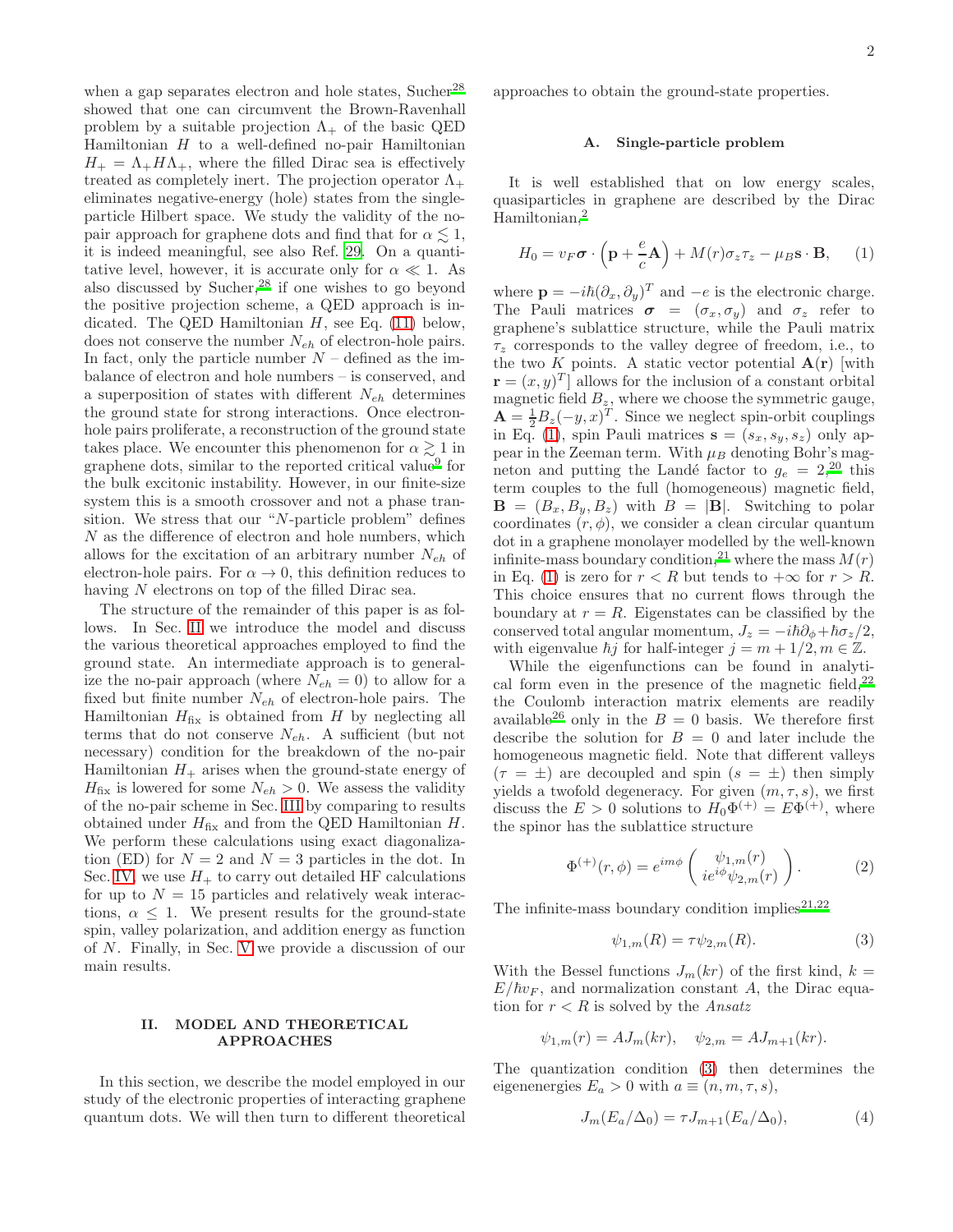when a gap separates electron and hole states, Sucher<sup>[28](#page-8-2)</sup> showed that one can circumvent the Brown-Ravenhall problem by a suitable projection  $\Lambda_{+}$  of the basic QED Hamiltonian  $H$  to a well-defined no-pair Hamiltonian  $H_+ = \Lambda_+ H \Lambda_+$ , where the filled Dirac sea is effectively treated as completely inert. The projection operator  $\Lambda_{+}$ eliminates negative-energy (hole) states from the singleparticle Hilbert space. We study the validity of the nopair approach for graphene dots and find that for  $\alpha \lesssim 1$ , it is indeed meaningful, see also Ref. [29](#page-8-3). On a quantitative level, however, it is accurate only for  $\alpha \ll 1$ . As also discussed by Sucher,[28](#page-8-2) if one wishes to go beyond the positive projection scheme, a QED approach is indicated. The QED Hamiltonian  $H$ , see Eq. [\(11\)](#page-2-0) below, does not conserve the number  $N_{eh}$  of electron-hole pairs. In fact, only the particle number  $N$  – defined as the imbalance of electron and hole numbers – is conserved, and a superposition of states with different  $N_{eh}$  determines the ground state for strong interactions. Once electronhole pairs proliferate, a reconstruction of the ground state takes place. We encounter this phenomenon for  $\alpha \gtrsim 1$  in graphene dots, similar to the reported critical value<sup>[9](#page-7-8)</sup> for the bulk excitonic instability. However, in our finite-size system this is a smooth crossover and not a phase transition. We stress that our "N-particle problem" defines N as the difference of electron and hole numbers, which allows for the excitation of an arbitrary number  $N_{eh}$  of electron-hole pairs. For  $\alpha \to 0$ , this definition reduces to having N electrons on top of the filled Dirac sea.

The structure of the remainder of this paper is as follows. In Sec. [II](#page-1-0) we introduce the model and discuss the various theoretical approaches employed to find the ground state. An intermediate approach is to generalize the no-pair approach (where  $N_{eh} = 0$ ) to allow for a fixed but finite number  $N_{eh}$  of electron-hole pairs. The Hamiltonian  $H_{fix}$  is obtained from H by neglecting all terms that do not conserve  $N_{eh}$ . A sufficient (but not necessary) condition for the breakdown of the no-pair Hamiltonian  $H_+$  arises when the ground-state energy of  $H_{\text{fix}}$  is lowered for some  $N_{eh} > 0$ . We assess the validity of the no-pair scheme in Sec. [III](#page-3-0) by comparing to results obtained under  $H_{fix}$  and from the QED Hamiltonian  $H$ . We perform these calculations using exact diagonalization (ED) for  $N = 2$  and  $N = 3$  particles in the dot. In Sec. [IV,](#page-5-0) we use  $H_+$  to carry out detailed HF calculations for up to  $N = 15$  particles and relatively weak interactions,  $\alpha \leq 1$ . We present results for the ground-state spin, valley polarization, and addition energy as function of N. Finally, in Sec. [V](#page-6-0) we provide a discussion of our main results.

# <span id="page-1-0"></span>II. MODEL AND THEORETICAL APPROACHES

In this section, we describe the model employed in our study of the electronic properties of interacting graphene quantum dots. We will then turn to different theoretical

approaches to obtain the ground-state properties.

### A. Single-particle problem

It is well established that on low energy scales, quasiparticles in graphene are described by the Dirac Hamiltonian,[2](#page-7-1)

<span id="page-1-1"></span>
$$
H_0 = v_F \boldsymbol{\sigma} \cdot \left( \mathbf{p} + \frac{e}{c} \mathbf{A} \right) + M(r) \sigma_z \tau_z - \mu_B \mathbf{s} \cdot \mathbf{B}, \qquad (1)
$$

where  $\mathbf{p} = -i\hbar(\partial_x, \partial_y)^T$  and  $-e$  is the electronic charge. The Pauli matrices  $\sigma = (\sigma_x, \sigma_y)$  and  $\sigma_z$  refer to graphene's sublattice structure, while the Pauli matrix  $\tau_z$  corresponds to the valley degree of freedom, i.e., to the two K points. A static vector potential  $A(r)$  with  $\mathbf{r} = (x, y)^T$  allows for the inclusion of a constant orbital magnetic field  $B_z$ , where we choose the symmetric gauge,  $\mathbf{A} = \frac{1}{2}B_z(-y,x)^T$ . Since we neglect spin-orbit couplings in Eq. [\(1\)](#page-1-1), spin Pauli matrices  $\mathbf{s} = (s_x, s_y, s_z)$  only appear in the Zeeman term. With  $\mu_B$  denoting Bohr's magneton and putting the Landé factor to  $g_e = 2,20$  $g_e = 2,20$  this term couples to the full (homogeneous) magnetic field,  $\mathbf{B} = (B_x, B_y, B_z)$  with  $B = |\mathbf{B}|$ . Switching to polar coordinates  $(r, \phi)$ , we consider a clean circular quantum dot in a graphene monolayer modelled by the well-known infinite-mass boundary condition,<sup>[21](#page-7-17)</sup> where the mass  $M(r)$ in Eq. [\(1\)](#page-1-1) is zero for  $r < R$  but tends to  $+\infty$  for  $r > R$ . This choice ensures that no current flows through the boundary at  $r = R$ . Eigenstates can be classified by the conserved total angular momentum,  $J_z = -i\hbar\partial_{\phi}+\hbar\sigma_z/2$ , with eigenvalue  $\hbar j$  for half-integer  $j = m + 1/2, m \in \mathbb{Z}$ .

While the eigenfunctions can be found in analytical form even in the presence of the magnetic field,  $2^2$ the Coulomb interaction matrix elements are readily available<sup>[26](#page-8-0)</sup> only in the  $B = 0$  basis. We therefore first describe the solution for  $B = 0$  and later include the homogeneous magnetic field. Note that different valleys  $(\tau = \pm)$  are decoupled and spin  $(s = \pm)$  then simply yields a twofold degeneracy. For given  $(m, \tau, s)$ , we first discuss the  $E > 0$  solutions to  $H_0 \Phi^{(+)} = E \Phi^{(+)}$ , where the spinor has the sublattice structure

$$
\Phi^{(+)}(r,\phi) = e^{im\phi} \left( \begin{array}{c} \psi_{1,m}(r) \\ ie^{i\phi}\psi_{2,m}(r) \end{array} \right). \tag{2}
$$

The infinite-mass boundary condition implies  $2^{1,22}$  $2^{1,22}$  $2^{1,22}$ 

<span id="page-1-2"></span>
$$
\psi_{1,m}(R) = \tau \psi_{2,m}(R). \tag{3}
$$

With the Bessel functions  $J_m(kr)$  of the first kind,  $k =$  $E/\hbar v_F$ , and normalization constant A, the Dirac equation for  $r < R$  is solved by the Ansatz

$$
\psi_{1,m}(r) = AJ_m(kr), \quad \psi_{2,m} = AJ_{m+1}(kr).
$$

The quantization condition [\(3\)](#page-1-2) then determines the eigenenergies  $E_a > 0$  with  $a \equiv (n, m, \tau, s)$ ,

<span id="page-1-3"></span>
$$
J_m(E_a/\Delta_0) = \tau J_{m+1}(E_a/\Delta_0),\tag{4}
$$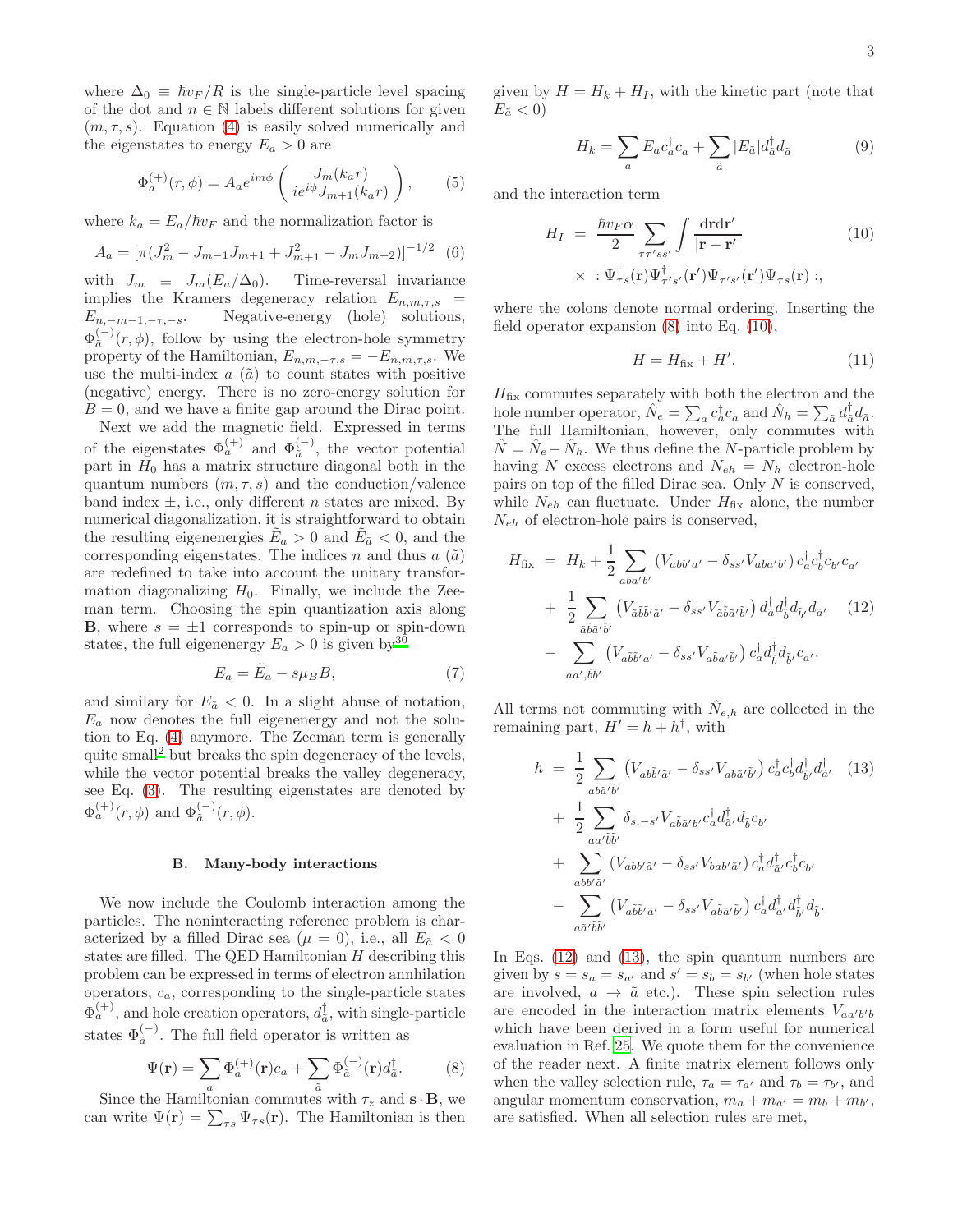where  $\Delta_0 \equiv \hbar v_F / R$  is the single-particle level spacing of the dot and  $n \in \mathbb{N}$  labels different solutions for given  $(m, \tau, s)$ . Equation [\(4\)](#page-1-3) is easily solved numerically and the eigenstates to energy  $E_a > 0$  are

$$
\Phi_a^{(+)}(r,\phi) = A_a e^{im\phi} \left( \frac{J_m(k_a r)}{ie^{i\phi} J_{m+1}(k_a r)} \right), \quad (5)
$$

where  $k_a = E_a/\hbar v_F$  and the normalization factor is

$$
A_a = \left[ \pi (J_m^2 - J_{m-1} J_{m+1} + J_{m+1}^2 - J_m J_{m+2}) \right]^{-1/2} \tag{6}
$$

with  $J_m \equiv J_m(E_a/\Delta_0)$ . Time-reversal invariance implies the Kramers degeneracy relation  $E_{n,m,\tau,s}$  =  $E_{n,-m-1,-\tau,-s}$ . Negative-energy (hole) solutions,  $\Phi^{(-)}_{\tilde a}$  $\int_{\tilde{a}}^{\tilde{b}-1}(r,\phi)$ , follow by using the electron-hole symmetry property of the Hamiltonian,  $E_{n,m,-\tau,s} = -E_{n,m,\tau,s}$ . We use the multi-index  $a(\tilde{a})$  to count states with positive (negative) energy. There is no zero-energy solution for  $B = 0$ , and we have a finite gap around the Dirac point.

Next we add the magnetic field. Expressed in terms of the eigenstates  $\Phi_a^{(+)}$  and  $\Phi_{\tilde{a}}^{(-)}$ , the vector potential part in  $H_0$  has a matrix structure diagonal both in the quantum numbers  $(m, \tau, s)$  and the conduction/valence band index  $\pm$ , i.e., only different *n* states are mixed. By numerical diagonalization, it is straightforward to obtain the resulting eigenenergies  $\tilde{E}_a > 0$  and  $\tilde{E}_\tilde{a} < 0$ , and the corresponding eigenstates. The indices n and thus  $a(\tilde{a})$ are redefined to take into account the unitary transformation diagonalizing  $H_0$ . Finally, we include the Zeeman term. Choosing the spin quantization axis along **B**, where  $s = \pm 1$  corresponds to spin-up or spin-down states, the full eigenenergy  $E_a > 0$  is given by<sup>[30](#page-8-4)</sup>

$$
E_a = \tilde{E}_a - s\mu_B B,\t\t(7)
$$

and similary for  $E_{\tilde{a}} < 0$ . In a slight abuse of notation,  $E_a$  now denotes the full eigenenergy and not the solution to Eq. [\(4\)](#page-1-3) anymore. The Zeeman term is generally quite small[2](#page-7-1) but breaks the spin degeneracy of the levels, while the vector potential breaks the valley degeneracy, see Eq. [\(3\)](#page-1-2). The resulting eigenstates are denoted by  $\Phi_a^{(+)}(r,\phi)$  and  $\Phi_{\tilde{a}}^{(-)}(r,\phi)$ .

### B. Many-body interactions

We now include the Coulomb interaction among the particles. The noninteracting reference problem is characterized by a filled Dirac sea ( $\mu = 0$ ), i.e., all  $E_{\tilde{a}} < 0$ states are filled. The QED Hamiltonian  $H$  describing this problem can be expressed in terms of electron annhilation operators,  $c_a$ , corresponding to the single-particle states  $\Phi_a^{(+)}$ , and hole creation operators,  $d_{\tilde{a}}^{\dagger}$ , with single-particle states  $\Phi_{\tilde{a}}^{(-)}$ . The full field operator is written as

<span id="page-2-1"></span>
$$
\Psi(\mathbf{r}) = \sum_{a} \Phi_{a}^{(+)}(\mathbf{r})c_{a} + \sum_{\tilde{a}} \Phi_{\tilde{a}}^{(-)}(\mathbf{r})d_{\tilde{a}}^{\dagger}.
$$
 (8)

Since the Hamiltonian commutes with  $\tau_z$  and  $\mathbf{s} \cdot \mathbf{B}$ , we can write  $\Psi(\mathbf{r}) = \sum_{\tau s} \Psi_{\tau s}(\mathbf{r})$ . The Hamiltonian is then given by  $H = H_k + H_I$ , with the kinetic part (note that  $E_{\tilde{a}} < 0$ 

$$
H_k = \sum_a E_a c_a^\dagger c_a + \sum_{\tilde{a}} |E_{\tilde{a}}| d_{\tilde{a}}^\dagger d_{\tilde{a}} \tag{9}
$$

and the interaction term

<span id="page-2-2"></span>
$$
H_{I} = \frac{\hbar v_{F} \alpha}{2} \sum_{\tau \tau' s s'} \int \frac{d\mathbf{r} d\mathbf{r'}}{|\mathbf{r} - \mathbf{r'}|} \qquad (10)
$$

$$
\times : \Psi^{\dagger}_{\tau s}(\mathbf{r}) \Psi^{\dagger}_{\tau' s'}(\mathbf{r'}) \Psi_{\tau' s'}(\mathbf{r'}) \Psi_{\tau s}(\mathbf{r}) ;
$$

where the colons denote normal ordering. Inserting the field operator expansion  $(8)$  into Eq.  $(10)$ ,

<span id="page-2-0"></span>
$$
H = H_{\text{fix}} + H'.\tag{11}
$$

 $H_{fix}$  commutes separately with both the electron and the hole number operator,  $\hat{N}_e = \sum_a c_a^{\dagger} c_a$  and  $\hat{N}_h = \sum_{\tilde{a}} d_{\tilde{a}}^{\dagger} d_{\tilde{a}}$ . The full Hamiltonian, however, only commutes with  $\hat{N} = \hat{N}_e - \hat{N}_h$ . We thus define the *N*-particle problem by having N excess electrons and  $N_{eh} = N_h$  electron-hole pairs on top of the filled Dirac sea. Only  $N$  is conserved, while  $N_{eh}$  can fluctuate. Under  $H_{fix}$  alone, the number  $N_{eh}$  of electron-hole pairs is conserved,

<span id="page-2-3"></span>
$$
H_{\text{fix}} = H_k + \frac{1}{2} \sum_{\substack{aba'b'\\ \tilde{a}\tilde{b}\tilde{a'}\tilde{b'}}} (V_{abb'a'} - \delta_{ss'} V_{aba'b'}) c_a^{\dagger} c_b^{\dagger} c_{b'} c_{a'}
$$
  
+ 
$$
\frac{1}{2} \sum_{\tilde{a}\tilde{b}\tilde{a'}\tilde{b'}} (V_{\tilde{a}\tilde{b}\tilde{b'}\tilde{a}'} - \delta_{ss'} V_{\tilde{a}\tilde{b}\tilde{a'}\tilde{b'}}) d_a^{\dagger} d_{\tilde{b}}^{\dagger} d_{\tilde{b}'} d_{\tilde{a}'} \quad (12)
$$
  
- 
$$
\sum_{aa',\tilde{b}\tilde{b'}} (V_{a\tilde{b}\tilde{b'}a'} - \delta_{ss'} V_{a\tilde{b}a'\tilde{b'}}) c_a^{\dagger} d_{\tilde{b}}^{\dagger} d_{\tilde{b}'} c_{a'}.
$$

All terms not commuting with  $\hat{N}_{e,h}$  are collected in the remaining part,  $H' = h + h^{\dagger}$ , with

<span id="page-2-4"></span>
$$
h = \frac{1}{2} \sum_{ab\tilde{a}'\tilde{b}'} \left( V_{ab\tilde{b}'\tilde{a}'} - \delta_{ss'} V_{ab\tilde{a}'\tilde{b}'} \right) c_a^{\dagger} c_b^{\dagger} d_{\tilde{b}'}^{\dagger} d_{\tilde{a}'}^{\dagger} \quad (13)
$$
  
+ 
$$
\frac{1}{2} \sum_{aa'\tilde{b}\tilde{b}'} \delta_{s,-s'} V_{a\tilde{b}\tilde{a}'b'} c_a^{\dagger} d_{\tilde{a}'}^{\dagger} d_{\tilde{b}} c_{b'}
$$
  
+ 
$$
\sum_{abb'\tilde{a}'} \left( V_{abb'\tilde{a}'} - \delta_{ss'} V_{bab'\tilde{a}'} \right) c_a^{\dagger} d_{\tilde{a}'}^{\dagger} c_b^{\dagger} c_{b'}
$$
  
- 
$$
\sum_{a\tilde{a}'\tilde{b}\tilde{b}'} \left( V_{a\tilde{b}\tilde{b}'\tilde{a}'} - \delta_{ss'} V_{a\tilde{b}\tilde{a}'\tilde{b}'} \right) c_a^{\dagger} d_{\tilde{a}'}^{\dagger} d_{\tilde{b}'}^{\dagger} d_{\tilde{b}}.
$$

In Eqs. [\(12\)](#page-2-3) and [\(13\)](#page-2-4), the spin quantum numbers are given by  $s = s_a = s_{a'}$  and  $s' = s_b = s_{b'}$  (when hole states are involved,  $a \rightarrow \tilde{a}$  etc.). These spin selection rules are encoded in the interaction matrix elements  $V_{aa'b'b'}$ which have been derived in a form useful for numerical evaluation in Ref. [25](#page-8-5). We quote them for the convenience of the reader next. A finite matrix element follows only when the valley selection rule,  $\tau_a = \tau_{a'}$  and  $\tau_b = \tau_{b'}$ , and angular momentum conservation,  $m_a + m_{a'} = m_b + m_{b'}$ , are satisfied. When all selection rules are met,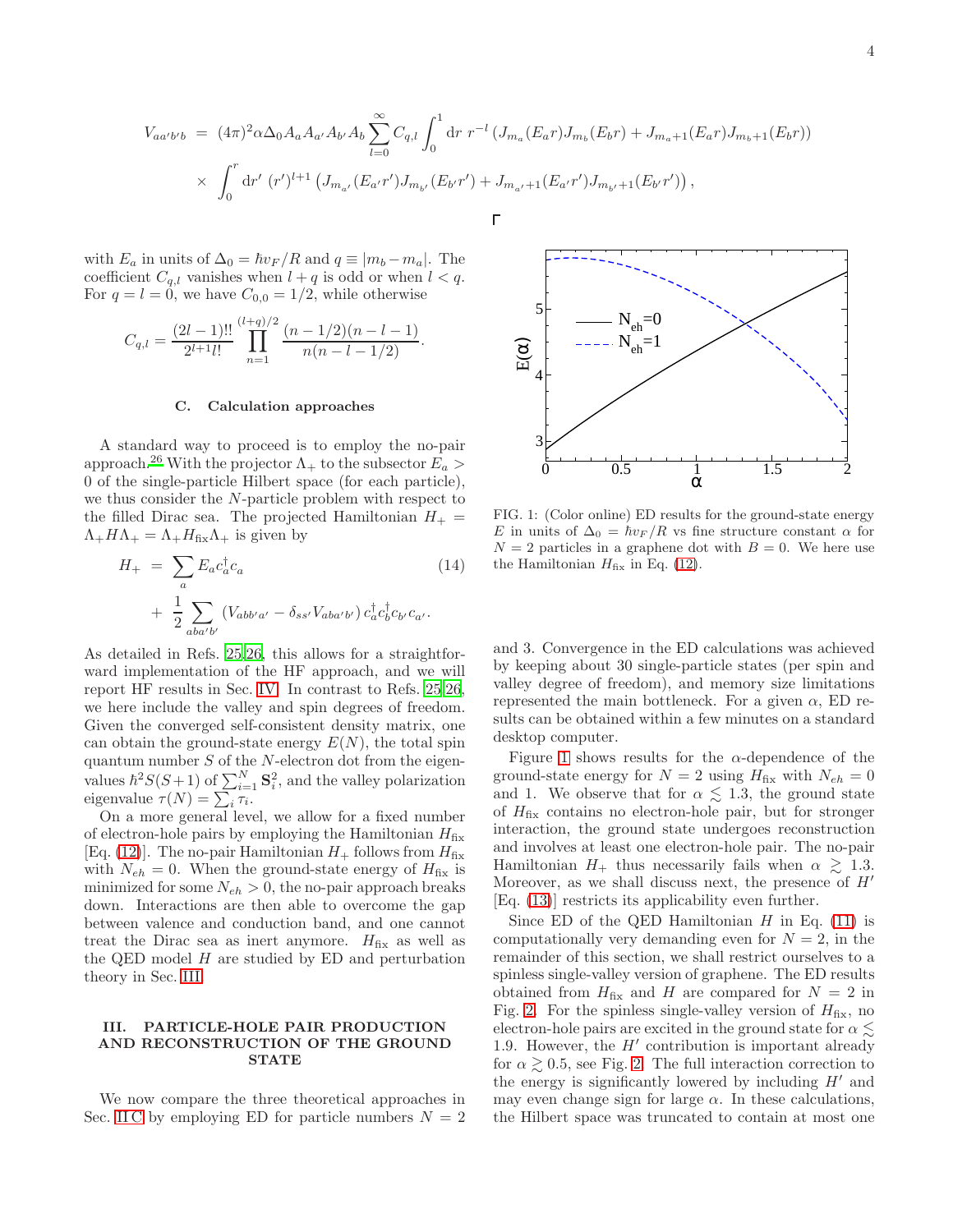$$
V_{aa'b'b} = (4\pi)^2 \alpha \Delta_0 A_a A_{a'} A_{b'} A_b \sum_{l=0}^{\infty} C_{q,l} \int_0^1 dr \ r^{-l} \left( J_{m_a}(E_a r) J_{m_b}(E_b r) + J_{m_a+1}(E_a r) J_{m_b+1}(E_b r) \right) \times \int_0^r dr' \ (r')^{l+1} \left( J_{m_{a'}}(E_{a'} r') J_{m_{b'}}(E_{b'} r') + J_{m_{a'}+1}(E_{a'} r') J_{m_{b'}+1}(E_{b'} r') \right),
$$

with  $E_a$  in units of  $\Delta_0 = \hbar v_F / R$  and  $q \equiv |m_b - m_a|$ . The coefficient  $C_{q,l}$  vanishes when  $l + q$  is odd or when  $l < q$ . For  $q = l = 0$ , we have  $C_{0,0} = 1/2$ , while otherwise

$$
C_{q,l} = \frac{(2l-1)!!}{2^{l+1}l!} \prod_{n=1}^{(l+q)/2} \frac{(n-1/2)(n-l-1)}{n(n-l-1/2)}.
$$

#### <span id="page-3-1"></span>C. Calculation approaches

A standard way to proceed is to employ the no-pair approach.<sup>[26](#page-8-0)</sup> With the projector  $\Lambda_+$  to the subsector  $E_a >$ 0 of the single-particle Hilbert space (for each particle), we thus consider the N-particle problem with respect to the filled Dirac sea. The projected Hamiltonian  $H_+$  =  $\Lambda_+H\Lambda_+ = \Lambda_+H_{\text{fix}}\Lambda_+$  is given by

<span id="page-3-3"></span>
$$
H_{+} = \sum_{a} E_{a} c_{a}^{\dagger} c_{a}
$$
\n
$$
+ \frac{1}{2} \sum_{aba'b'} (V_{abb'a'} - \delta_{ss'} V_{aba'b'}) c_{a}^{\dagger} c_{b'}^{\dagger} c_{b'} c_{a'}.
$$
\n(14)

As detailed in Refs. [25](#page-8-5)[,26](#page-8-0), this allows for a straightforward implementation of the HF approach, and we will report HF results in Sec. [IV.](#page-5-0) In contrast to Refs. [25](#page-8-5)[,26](#page-8-0), we here include the valley and spin degrees of freedom. Given the converged self-consistent density matrix, one can obtain the ground-state energy  $E(N)$ , the total spin quantum number  $S$  of the  $N$ -electron dot from the eigenvalues  $\hbar^2 S(S+1)$  of  $\sum_{i=1}^N \mathbf{S}_i^2$ , and the valley polarization eigenvalue  $\tau(N) = \sum_i \tau_i$ .

On a more general level, we allow for a fixed number of electron-hole pairs by employing the Hamiltonian  $H_{fix}$ [Eq. [\(12\)](#page-2-3)]. The no-pair Hamiltonian  $H_+$  follows from  $H_{fix}$ with  $N_{eh} = 0$ . When the ground-state energy of  $H_{fix}$  is minimized for some  $N_{eh} > 0$ , the no-pair approach breaks down. Interactions are then able to overcome the gap between valence and conduction band, and one cannot treat the Dirac sea as inert anymore.  $H_{fix}$  as well as the QED model  $H$  are studied by ED and perturbation theory in Sec. [III.](#page-3-0)

### <span id="page-3-0"></span>III. PARTICLE-HOLE PAIR PRODUCTION AND RECONSTRUCTION OF THE GROUND **STATE**

We now compare the three theoretical approaches in Sec. [II C](#page-3-1) by employing ED for particle numbers  $N = 2$ 



<span id="page-3-2"></span>FIG. 1: (Color online) ED results for the ground-state energy E in units of  $\Delta_0 = \hbar v_F / R$  vs fine structure constant  $\alpha$  for  $N = 2$  particles in a graphene dot with  $B = 0$ . We here use the Hamiltonian  $H_{fix}$  in Eq. [\(12\)](#page-2-3).

and 3. Convergence in the ED calculations was achieved by keeping about 30 single-particle states (per spin and valley degree of freedom), and memory size limitations represented the main bottleneck. For a given  $\alpha$ , ED results can be obtained within a few minutes on a standard desktop computer.

Figure [1](#page-3-2) shows results for the  $\alpha$ -dependence of the ground-state energy for  $N = 2$  using  $H_{fix}$  with  $N_{eh} = 0$ and 1. We observe that for  $\alpha \lesssim 1.3$ , the ground state of  $H_{fix}$  contains no electron-hole pair, but for stronger interaction, the ground state undergoes reconstruction and involves at least one electron-hole pair. The no-pair Hamiltonian  $H_+$  thus necessarily fails when  $\alpha \geq 1.3$ . Moreover, as we shall discuss next, the presence of  $H'$ [Eq. [\(13\)](#page-2-4)] restricts its applicability even further.

Since ED of the QED Hamiltonian  $H$  in Eq. [\(11\)](#page-2-0) is computationally very demanding even for  $N = 2$ , in the remainder of this section, we shall restrict ourselves to a spinless single-valley version of graphene. The ED results obtained from  $H_{fix}$  and H are compared for  $N = 2$  in Fig. [2.](#page-4-0) For the spinless single-valley version of  $H_{fix}$ , no electron-hole pairs are excited in the ground state for  $\alpha \lesssim$ 1.9. However, the  $H'$  contribution is important already for  $\alpha \geq 0.5$ , see Fig. [2.](#page-4-0) The full interaction correction to the energy is significantly lowered by including  $H'$  and may even change sign for large  $\alpha$ . In these calculations, the Hilbert space was truncated to contain at most one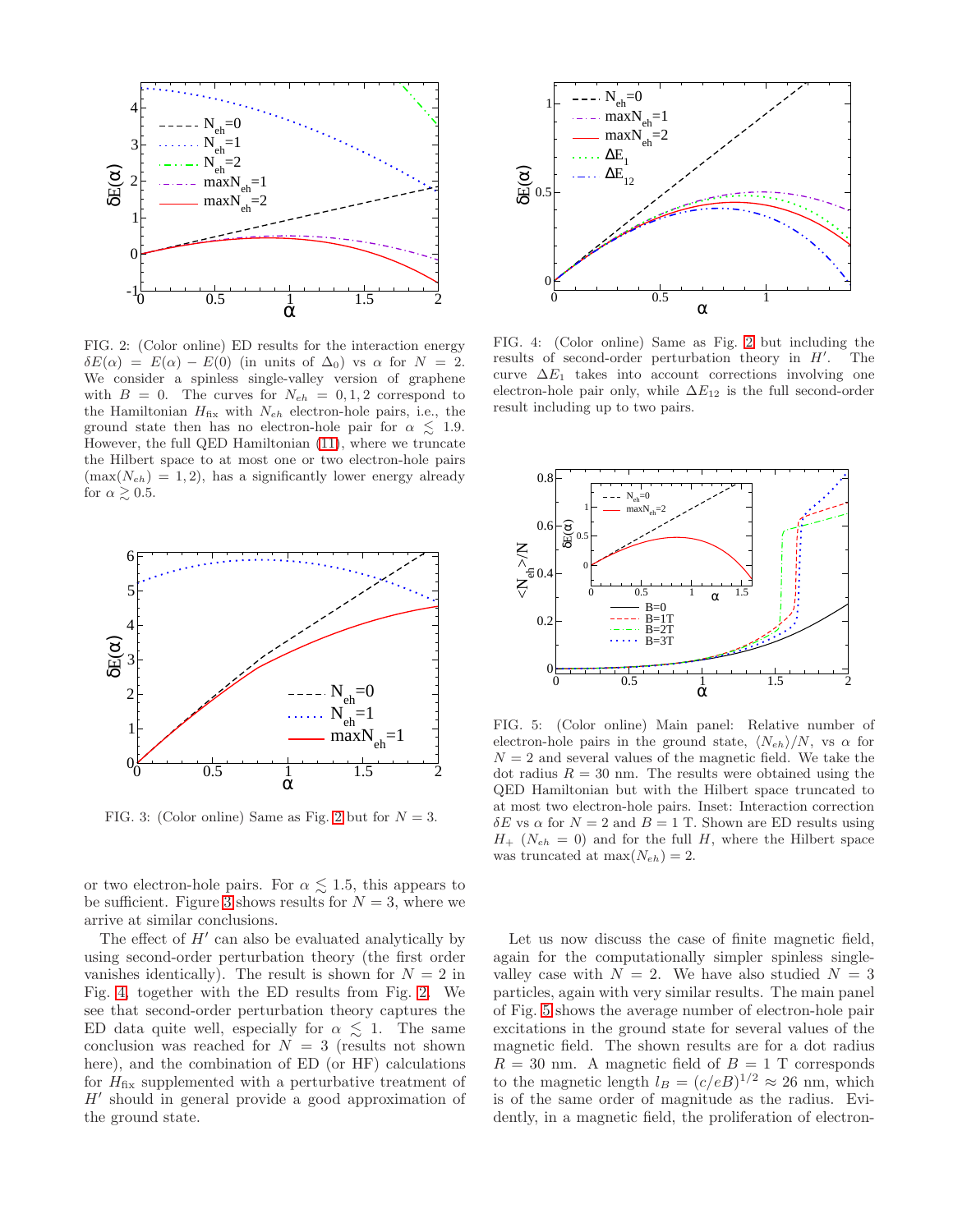

<span id="page-4-0"></span>FIG. 2: (Color online) ED results for the interaction energy  $\delta E(\alpha) = E(\alpha) - E(0)$  (in units of  $\Delta_0$ ) vs  $\alpha$  for  $N = 2$ . We consider a spinless single-valley version of graphene with  $B = 0$ . The curves for  $N_{eh} = 0, 1, 2$  correspond to the Hamiltonian  $H_{fix}$  with  $N_{eh}$  electron-hole pairs, i.e., the ground state then has no electron-hole pair for  $\alpha \lesssim 1.9$ . However, the full QED Hamiltonian [\(11\)](#page-2-0), where we truncate the Hilbert space to at most one or two electron-hole pairs  $(\max(N_{eh}) = 1, 2)$ , has a significantly lower energy already for  $\alpha \gtrsim 0.5$ .



<span id="page-4-1"></span>FIG. 3: (Color online) Same as Fig. [2](#page-4-0) but for  $N = 3$ .

or two electron-hole pairs. For  $\alpha \lesssim 1.5$ , this appears to be sufficient. Figure [3](#page-4-1) shows results for  $N = 3$ , where we arrive at similar conclusions.

The effect of  $H'$  can also be evaluated analytically by using second-order perturbation theory (the first order vanishes identically). The result is shown for  $N = 2$  in Fig. [4,](#page-4-2) together with the ED results from Fig. [2.](#page-4-0) We see that second-order perturbation theory captures the ED data quite well, especially for  $\alpha \leq 1$ . The same conclusion was reached for  $N = 3$  (results not shown here), and the combination of ED (or HF) calculations for  $H_{fix}$  supplemented with a perturbative treatment of H′ should in general provide a good approximation of the ground state.



<span id="page-4-2"></span>FIG. 4: (Color online) Same as Fig. [2](#page-4-0) but including the results of second-order perturbation theory in  $H'$ . The curve  $\Delta E_1$  takes into account corrections involving one electron-hole pair only, while  $\Delta E_{12}$  is the full second-order result including up to two pairs.



<span id="page-4-3"></span>FIG. 5: (Color online) Main panel: Relative number of electron-hole pairs in the ground state,  $\langle N_{eh} \rangle/N$ , vs  $\alpha$  for  $N = 2$  and several values of the magnetic field. We take the dot radius  $R = 30$  nm. The results were obtained using the QED Hamiltonian but with the Hilbert space truncated to at most two electron-hole pairs. Inset: Interaction correction δE vs  $\alpha$  for  $N = 2$  and  $B = 1$  T. Shown are ED results using  $H_{+}$  ( $N_{eh} = 0$ ) and for the full H, where the Hilbert space was truncated at  $\max(N_{eh}) = 2$ .

Let us now discuss the case of finite magnetic field, again for the computationally simpler spinless singlevalley case with  $N = 2$ . We have also studied  $N = 3$ particles, again with very similar results. The main panel of Fig. [5](#page-4-3) shows the average number of electron-hole pair excitations in the ground state for several values of the magnetic field. The shown results are for a dot radius  $R = 30$  nm. A magnetic field of  $B = 1$  T corresponds to the magnetic length  $l_B = (c/eB)^{1/2} \approx 26$  nm, which is of the same order of magnitude as the radius. Evidently, in a magnetic field, the proliferation of electron-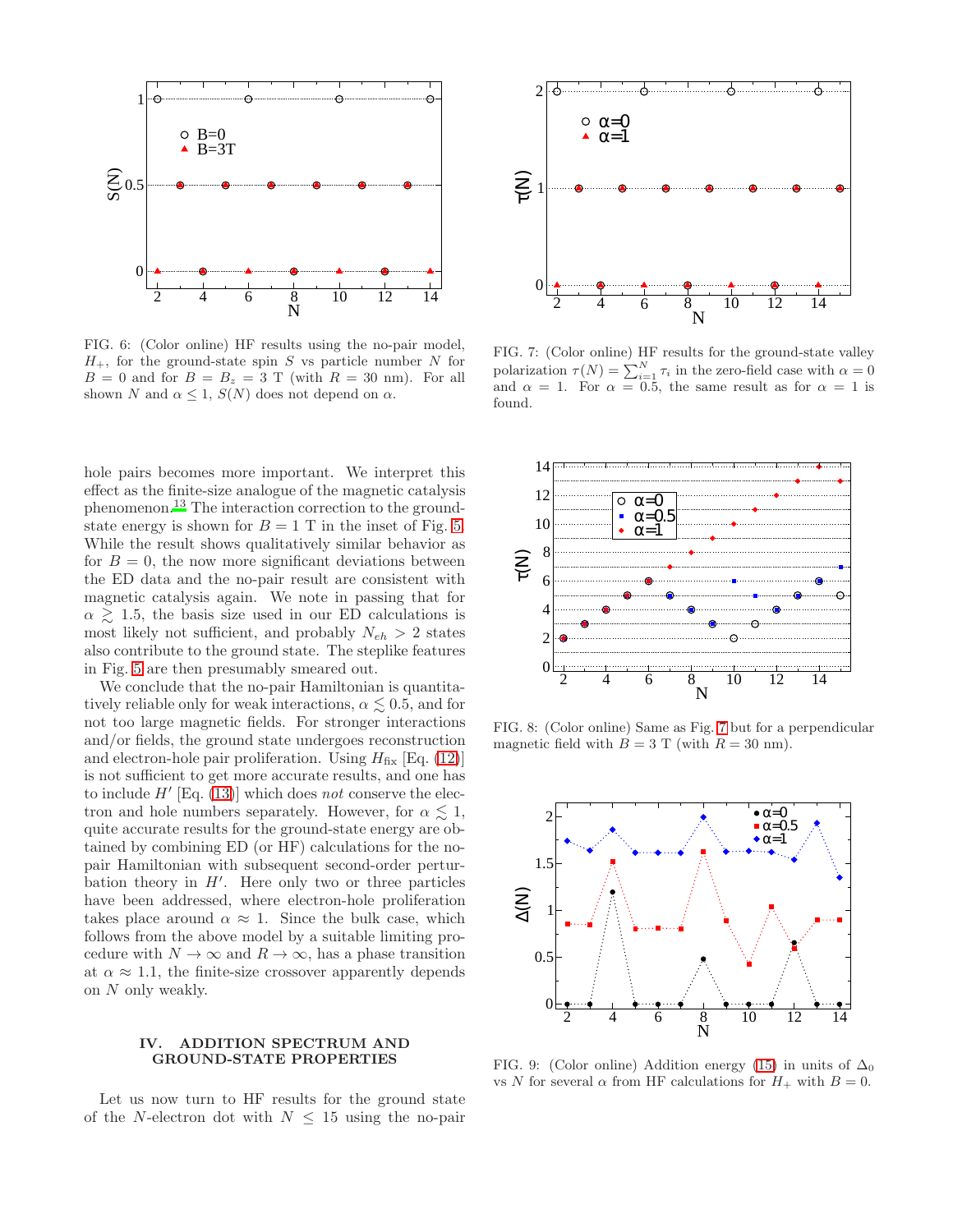

<span id="page-5-3"></span>FIG. 6: (Color online) HF results using the no-pair model,  $H_+$ , for the ground-state spin S vs particle number N for  $B = 0$  and for  $B = B<sub>z</sub> = 3$  T (with  $R = 30$  nm). For all shown N and  $\alpha \leq 1$ ,  $S(N)$  does not depend on  $\alpha$ .

hole pairs becomes more important. We interpret this effect as the finite-size analogue of the magnetic catalysis phenomenon.[13](#page-7-12) The interaction correction to the groundstate energy is shown for  $B = 1$  T in the inset of Fig. [5.](#page-4-3) While the result shows qualitatively similar behavior as for  $B = 0$ , the now more significant deviations between the ED data and the no-pair result are consistent with magnetic catalysis again. We note in passing that for  $\alpha \gtrsim 1.5$ , the basis size used in our ED calculations is most likely not sufficient, and probably  $N_{eh} > 2$  states also contribute to the ground state. The steplike features in Fig. [5](#page-4-3) are then presumably smeared out.

We conclude that the no-pair Hamiltonian is quantitatively reliable only for weak interactions,  $\alpha \lesssim 0.5$ , and for not too large magnetic fields. For stronger interactions and/or fields, the ground state undergoes reconstruction and electron-hole pair proliferation. Using  $H_{fix}$  [Eq. [\(12\)](#page-2-3)] is not sufficient to get more accurate results, and one has to include  $H'$  [Eq. [\(13\)](#page-2-4)] which does not conserve the electron and hole numbers separately. However, for  $\alpha \leq 1$ , quite accurate results for the ground-state energy are obtained by combining ED (or HF) calculations for the nopair Hamiltonian with subsequent second-order perturbation theory in  $H'$ . Here only two or three particles have been addressed, where electron-hole proliferation takes place around  $\alpha \approx 1$ . Since the bulk case, which follows from the above model by a suitable limiting procedure with  $N \to \infty$  and  $R \to \infty$ , has a phase transition at  $\alpha \approx 1.1$ , the finite-size crossover apparently depends on N only weakly.

# <span id="page-5-0"></span>IV. ADDITION SPECTRUM AND GROUND-STATE PROPERTIES

Let us now turn to HF results for the ground state of the N-electron dot with  $N \leq 15$  using the no-pair



<span id="page-5-1"></span>FIG. 7: (Color online) HF results for the ground-state valley polarization  $\tau(N) = \sum_{i=1}^{N} \tau_i$  in the zero-field case with  $\alpha = 0$ and  $\alpha = 1$ . For  $\alpha = 0.5$ , the same result as for  $\alpha = 1$  is found.



<span id="page-5-4"></span>FIG. 8: (Color online) Same as Fig. [7](#page-5-1) but for a perpendicular magnetic field with  $B = 3$  T (with  $R = 30$  nm).



<span id="page-5-2"></span>FIG. 9: (Color online) Addition energy [\(15\)](#page-6-1) in units of  $\Delta_0$ vs N for several  $\alpha$  from HF calculations for  $H_+$  with  $B=0$ .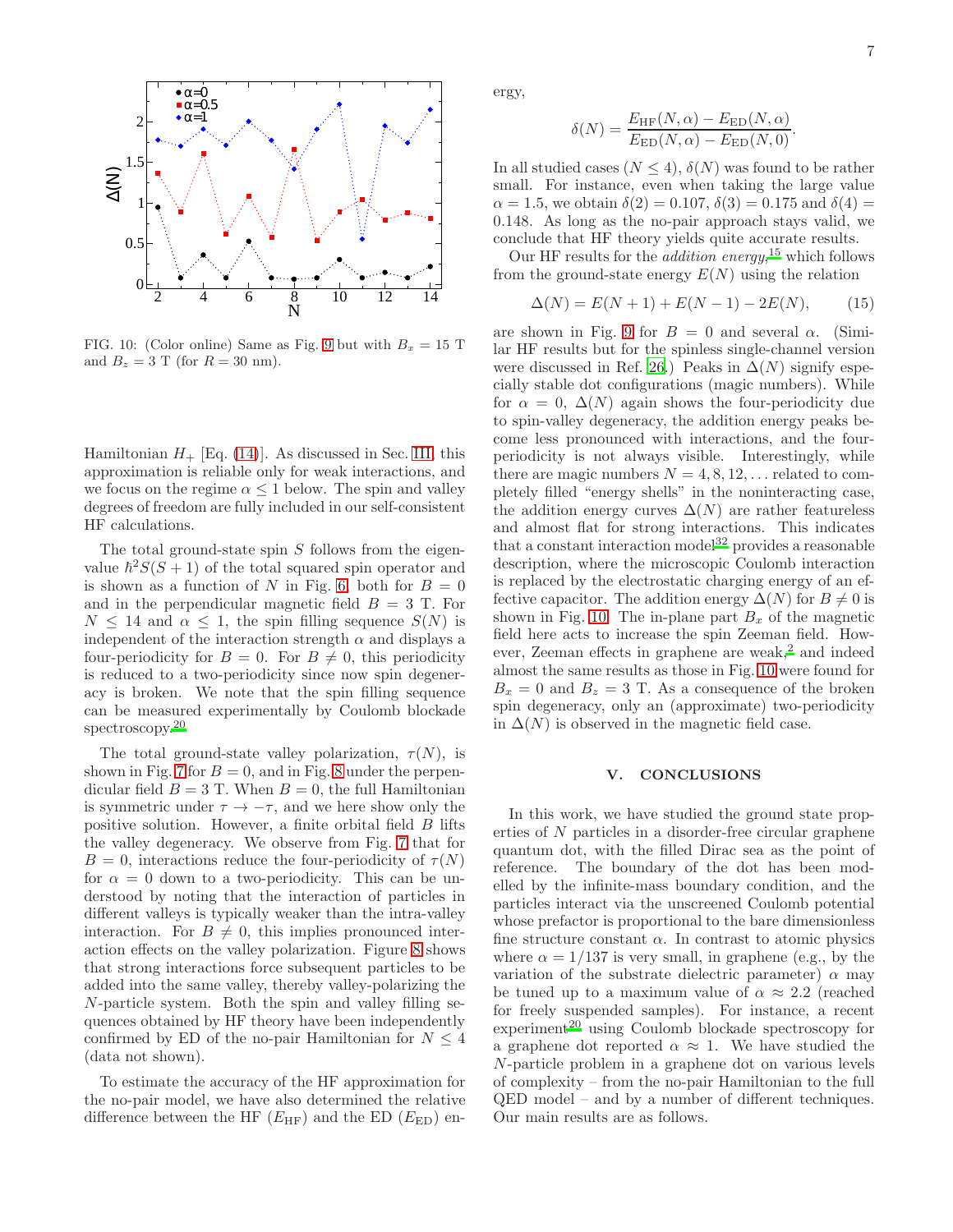

<span id="page-6-2"></span>FIG. 10: (Color online) Same as Fig. [9](#page-5-2) but with  $B_x = 15$  T and  $B_z = 3$  T (for  $R = 30$  nm).

Hamiltonian  $H_+$  [Eq. [\(14\)](#page-3-3)]. As discussed in Sec. [III,](#page-3-0) this approximation is reliable only for weak interactions, and we focus on the regime  $\alpha \leq 1$  below. The spin and valley degrees of freedom are fully included in our self-consistent HF calculations.

The total ground-state spin S follows from the eigenvalue  $\hbar^2 S(S+1)$  of the total squared spin operator and is shown as a function of N in Fig. [6,](#page-5-3) both for  $B = 0$ and in the perpendicular magnetic field  $B = 3$  T. For  $N \leq 14$  and  $\alpha \leq 1$ , the spin filling sequence  $S(N)$  is independent of the interaction strength  $\alpha$  and displays a four-periodicity for  $B = 0$ . For  $B \neq 0$ , this periodicity is reduced to a two-periodicity since now spin degeneracy is broken. We note that the spin filling sequence can be measured experimentally by Coulomb blockade spectroscopy.<sup>[20](#page-7-16)</sup>

The total ground-state valley polarization,  $\tau(N)$ , is shown in Fig. [7](#page-5-1) for  $B = 0$ , and in Fig. [8](#page-5-4) under the perpendicular field  $B = 3$  T. When  $B = 0$ , the full Hamiltonian is symmetric under  $\tau \to -\tau$ , and we here show only the positive solution. However, a finite orbital field B lifts the valley degeneracy. We observe from Fig. [7](#page-5-1) that for  $B = 0$ , interactions reduce the four-periodicity of  $\tau(N)$ for  $\alpha = 0$  down to a two-periodicity. This can be understood by noting that the interaction of particles in different valleys is typically weaker than the intra-valley interaction. For  $B \neq 0$ , this implies pronounced interaction effects on the valley polarization. Figure [8](#page-5-4) shows that strong interactions force subsequent particles to be added into the same valley, thereby valley-polarizing the N-particle system. Both the spin and valley filling sequences obtained by HF theory have been independently confirmed by ED of the no-pair Hamiltonian for  $N \leq 4$ (data not shown).

To estimate the accuracy of the HF approximation for the no-pair model, we have also determined the relative difference between the HF  $(E_{HF})$  and the ED  $(E_{ED})$  energy,

$$
\delta(N) = \frac{E_{\text{HF}}(N, \alpha) - E_{\text{ED}}(N, \alpha)}{E_{\text{ED}}(N, \alpha) - E_{\text{ED}}(N, 0)}.
$$

In all studied cases  $(N \leq 4)$ ,  $\delta(N)$  was found to be rather small. For instance, even when taking the large value  $\alpha = 1.5$ , we obtain  $\delta(2) = 0.107$ ,  $\delta(3) = 0.175$  and  $\delta(4) =$ 0.148. As long as the no-pair approach stays valid, we conclude that HF theory yields quite accurate results.

Our HF results for the *addition energy*,<sup>[15](#page-7-14)</sup> which follows from the ground-state energy  $E(N)$  using the relation

<span id="page-6-1"></span>
$$
\Delta(N) = E(N+1) + E(N-1) - 2E(N), \tag{15}
$$

are shown in Fig. [9](#page-5-2) for  $B = 0$  and several  $\alpha$ . (Similar HF results but for the spinless single-channel version were discussed in Ref. [26.](#page-8-0)) Peaks in  $\Delta(N)$  signify especially stable dot configurations (magic numbers). While for  $\alpha = 0$ ,  $\Delta(N)$  again shows the four-periodicity due to spin-valley degeneracy, the addition energy peaks become less pronounced with interactions, and the fourperiodicity is not always visible. Interestingly, while there are magic numbers  $N = 4, 8, 12, \ldots$  related to completely filled "energy shells" in the noninteracting case, the addition energy curves  $\Delta(N)$  are rather featureless and almost flat for strong interactions. This indicates that a constant interaction model<sup>[32](#page-8-6)</sup> provides a reasonable description, where the microscopic Coulomb interaction is replaced by the electrostatic charging energy of an effective capacitor. The addition energy  $\Delta(N)$  for  $B \neq 0$  is shown in Fig. [10.](#page-6-2) The in-plane part  $B_x$  of the magnetic field here acts to increase the spin Zeeman field. However, Zeeman effects in graphene are weak, $<sup>2</sup>$  $<sup>2</sup>$  $<sup>2</sup>$  and indeed</sup> almost the same results as those in Fig. [10](#page-6-2) were found for  $B_x = 0$  and  $B_z = 3$  T. As a consequence of the broken spin degeneracy, only an (approximate) two-periodicity in  $\Delta(N)$  is observed in the magnetic field case.

#### <span id="page-6-0"></span>V. CONCLUSIONS

In this work, we have studied the ground state properties of N particles in a disorder-free circular graphene quantum dot, with the filled Dirac sea as the point of reference. The boundary of the dot has been modelled by the infinite-mass boundary condition, and the particles interact via the unscreened Coulomb potential whose prefactor is proportional to the bare dimensionless fine structure constant  $\alpha$ . In contrast to atomic physics where  $\alpha = 1/137$  is very small, in graphene (e.g., by the variation of the substrate dielectric parameter)  $\alpha$  may be tuned up to a maximum value of  $\alpha \approx 2.2$  (reached for freely suspended samples). For instance, a recent  $experiment<sup>20</sup>$  $experiment<sup>20</sup>$  $experiment<sup>20</sup>$  using Coulomb blockade spectroscopy for a graphene dot reported  $\alpha \approx 1$ . We have studied the N-particle problem in a graphene dot on various levels of complexity – from the no-pair Hamiltonian to the full QED model – and by a number of different techniques. Our main results are as follows.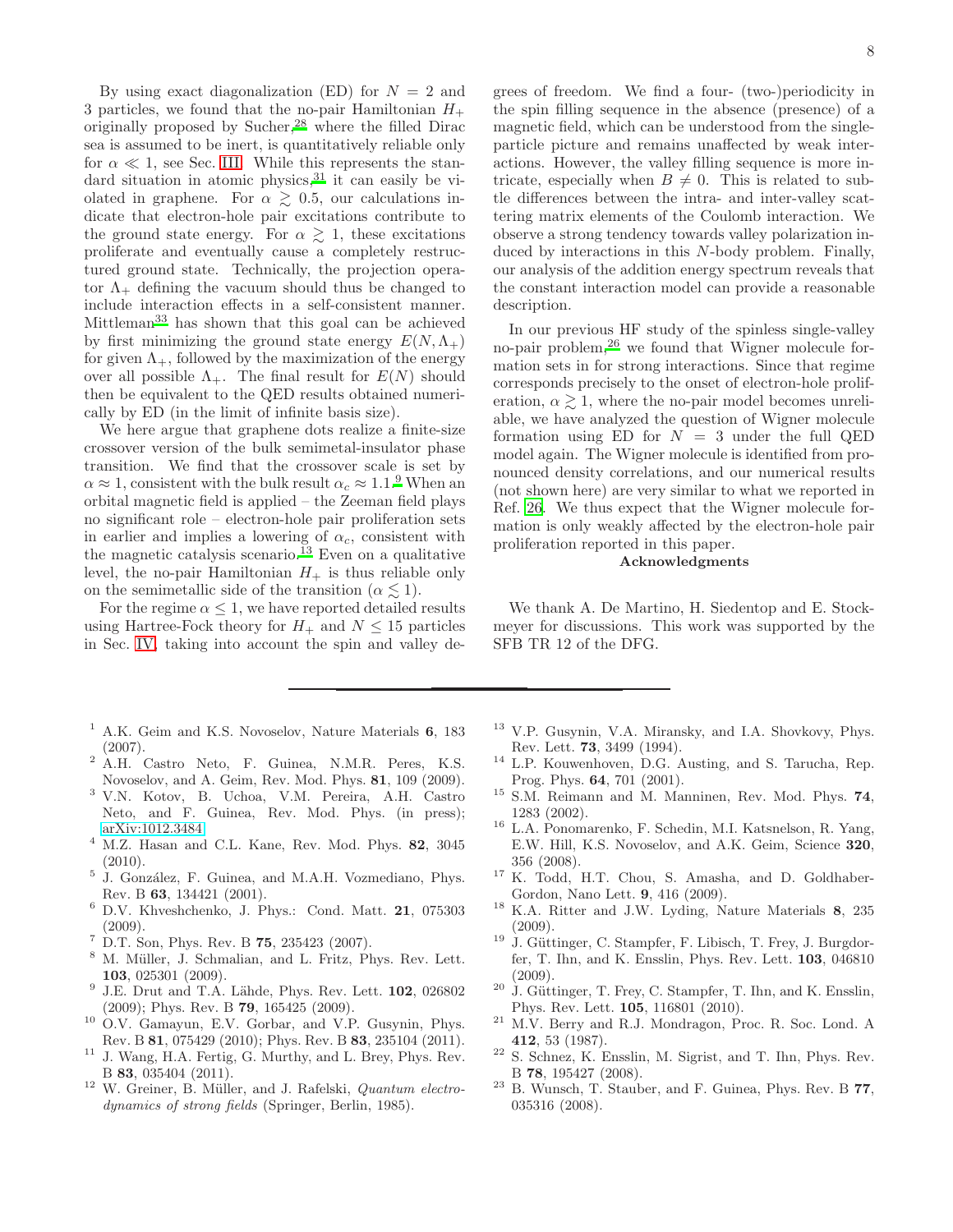By using exact diagonalization (ED) for  $N = 2$  and 3 particles, we found that the no-pair Hamiltonian  $H_+$ originally proposed by Sucher,[28](#page-8-2) where the filled Dirac sea is assumed to be inert, is quantitatively reliable only for  $\alpha \ll 1$ , see Sec. [III.](#page-3-0) While this represents the stan-dard situation in atomic physics,<sup>[31](#page-8-7)</sup> it can easily be violated in graphene. For  $\alpha \geq 0.5$ , our calculations indicate that electron-hole pair excitations contribute to the ground state energy. For  $\alpha \gtrsim 1$ , these excitations proliferate and eventually cause a completely restructured ground state. Technically, the projection operator  $\Lambda_{+}$  defining the vacuum should thus be changed to include interaction effects in a self-consistent manner. Mittleman[33](#page-8-8) has shown that this goal can be achieved by first minimizing the ground state energy  $E(N, \Lambda_+)$ for given  $\Lambda_+$ , followed by the maximization of the energy over all possible  $\Lambda_+$ . The final result for  $E(N)$  should then be equivalent to the QED results obtained numerically by ED (in the limit of infinite basis size).

We here argue that graphene dots realize a finite-size crossover version of the bulk semimetal-insulator phase transition. We find that the crossover scale is set by  $\alpha \approx 1$ , consistent with the bulk result  $\alpha_c \approx 1.1$ .<sup>[9](#page-7-8)</sup> When an orbital magnetic field is applied – the Zeeman field plays no significant role – electron-hole pair proliferation sets in earlier and implies a lowering of  $\alpha_c$ , consistent with the magnetic catalysis scenario.<sup>[13](#page-7-12)</sup> Even on a qualitative level, the no-pair Hamiltonian  $H_+$  is thus reliable only on the semimetallic side of the transition ( $\alpha \leq 1$ ).

For the regime  $\alpha \leq 1$ , we have reported detailed results using Hartree-Fock theory for  $H_+$  and  $N \leq 15$  particles in Sec. [IV,](#page-5-0) taking into account the spin and valley de-

- <span id="page-7-0"></span><sup>1</sup> A.K. Geim and K.S. Novoselov, Nature Materials 6, 183 (2007).
- <span id="page-7-1"></span><sup>2</sup> A.H. Castro Neto, F. Guinea, N.M.R. Peres, K.S. Novoselov, and A. Geim, Rev. Mod. Phys. 81, 109 (2009).
- <span id="page-7-2"></span><sup>3</sup> V.N. Kotov, B. Uchoa, V.M. Pereira, A.H. Castro Neto, and F. Guinea, Rev. Mod. Phys. (in press); [arXiv:1012.3484.](http://arxiv.org/abs/1012.3484)
- <span id="page-7-3"></span><sup>4</sup> M.Z. Hasan and C.L. Kane, Rev. Mod. Phys. 82, 3045 (2010).
- <span id="page-7-4"></span><sup>5</sup> J. González, F. Guinea, and M.A.H. Vozmediano, Phys. Rev. B 63, 134421 (2001).
- <span id="page-7-5"></span><sup>6</sup> D.V. Khveshchenko, J. Phys.: Cond. Matt. 21, 075303 (2009).
- <span id="page-7-6"></span> $7$  D.T. Son, Phys. Rev. B 75, 235423 (2007).
- <span id="page-7-7"></span><sup>8</sup> M. Müller, J. Schmalian, and L. Fritz, Phys. Rev. Lett. 103, 025301 (2009).
- <span id="page-7-8"></span>9 J.E. Drut and T.A. Lähde, Phys. Rev. Lett. 102, 026802 (2009); Phys. Rev. B 79, 165425 (2009).
- <span id="page-7-9"></span><sup>10</sup> O.V. Gamayun, E.V. Gorbar, and V.P. Gusynin, Phys. Rev. B 81, 075429 (2010); Phys. Rev. B 83, 235104 (2011).
- <span id="page-7-10"></span><sup>11</sup> J. Wang, H.A. Fertig, G. Murthy, and L. Brey, Phys. Rev. B 83, 035404 (2011).
- <span id="page-7-11"></span> $12$  W. Greiner, B. Müller, and J. Rafelski, *Quantum electro*dynamics of strong fields (Springer, Berlin, 1985).
- <span id="page-7-12"></span><sup>13</sup> V.P. Gusynin, V.A. Miransky, and I.A. Shovkovy, Phys. Rev. Lett. 73, 3499 (1994).
- <span id="page-7-13"></span><sup>14</sup> L.P. Kouwenhoven, D.G. Austing, and S. Tarucha, Rep. Prog. Phys. 64, 701 (2001).
- <span id="page-7-14"></span><sup>15</sup> S.M. Reimann and M. Manninen, Rev. Mod. Phys. 74, 1283 (2002).
- <span id="page-7-15"></span><sup>16</sup> L.A. Ponomarenko, F. Schedin, M.I. Katsnelson, R. Yang, E.W. Hill, K.S. Novoselov, and A.K. Geim, Science 320, 356 (2008).
- <sup>17</sup> K. Todd, H.T. Chou, S. Amasha, and D. Goldhaber-Gordon, Nano Lett. 9, 416 (2009).
- <sup>18</sup> K.A. Ritter and J.W. Lyding, Nature Materials 8, 235 (2009).
- <sup>19</sup> J. Güttinger, C. Stampfer, F. Libisch, T. Frey, J. Burgdorfer, T. Ihn, and K. Ensslin, Phys. Rev. Lett. 103, 046810 (2009).
- <span id="page-7-16"></span> $20\,$  J. Güttinger, T. Frey, C. Stampfer, T. Ihn, and K. Ensslin, Phys. Rev. Lett. 105, 116801 (2010).
- <span id="page-7-17"></span><sup>21</sup> M.V. Berry and R.J. Mondragon, Proc. R. Soc. Lond. A 412, 53 (1987).
- <span id="page-7-18"></span><sup>22</sup> S. Schnez, K. Ensslin, M. Sigrist, and T. Ihn, Phys. Rev. B 78, 195427 (2008).
- <span id="page-7-19"></span> $23$  B. Wunsch, T. Stauber, and F. Guinea, Phys. Rev. B 77, 035316 (2008).

grees of freedom. We find a four- (two-)periodicity in the spin filling sequence in the absence (presence) of a magnetic field, which can be understood from the singleparticle picture and remains unaffected by weak interactions. However, the valley filling sequence is more intricate, especially when  $B \neq 0$ . This is related to subtle differences between the intra- and inter-valley scattering matrix elements of the Coulomb interaction. We observe a strong tendency towards valley polarization induced by interactions in this N-body problem. Finally, our analysis of the addition energy spectrum reveals that the constant interaction model can provide a reasonable description.

In our previous HF study of the spinless single-valley no-pair problem,<sup>[26](#page-8-0)</sup> we found that Wigner molecule formation sets in for strong interactions. Since that regime corresponds precisely to the onset of electron-hole proliferation,  $\alpha \gtrsim 1$ , where the no-pair model becomes unreliable, we have analyzed the question of Wigner molecule formation using ED for  $N = 3$  under the full QED model again. The Wigner molecule is identified from pronounced density correlations, and our numerical results (not shown here) are very similar to what we reported in Ref. [26.](#page-8-0) We thus expect that the Wigner molecule formation is only weakly affected by the electron-hole pair proliferation reported in this paper.

# Acknowledgments

We thank A. De Martino, H. Siedentop and E. Stockmeyer for discussions. This work was supported by the SFB TR 12 of the DFG.